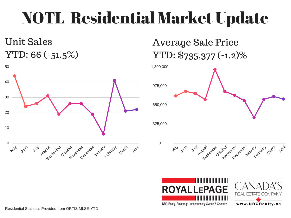## NOTL Residential Market Update

Unit Sales YTD: 66 (-51.5%)



### Average Sale Price YTD: \$735,377 (-1.2)%







NRC Realty, Brokerage. Independently Owned & Operated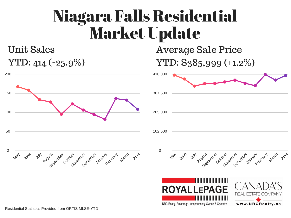### Niagara Falls Residential Market Update

### Unit Sales YTD: 414 (-25.9%)

0 50 100 150 200 May June July August Capter December 18th Legitland March April 0 102,500 205,000 307,500 410,000 May June July August September October November December January February March



Average Sale Price

YTD: \$385,999 (+1.2%)



April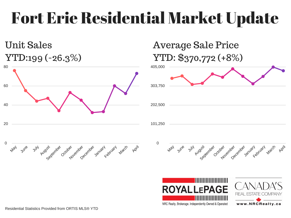## Fort Erie Residential Market Update

#### Unit Sales YTD:199 (-26.3%)







### Average Sale Price YTD: \$370,772 (+8%)







NRC Realty, Brokerage. Independently Owned & Operated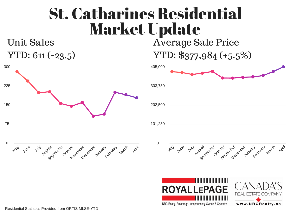### Average Sale Price St. Catharines Residential Market Update

#### Unit Sales YTD: 611 (-23.5)





YTD: \$377,984 (+5.5%)





NRC Realty, Brokerage. Independently Owned & Operated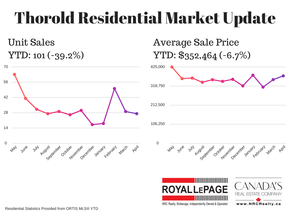## Thorold Residential Market Update

### Unit Sales YTD: 101 (-39.2%)



### Average Sale Price YTD: \$352,464 (-6.7%)





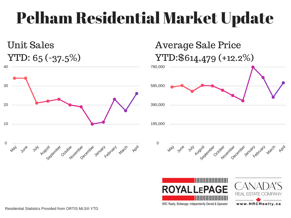## Pelham Residential Market Update

Unit Sales YTD: 65 (-37.5%)





### Average Sale Price YTD:\$614,479 (+12.2%)







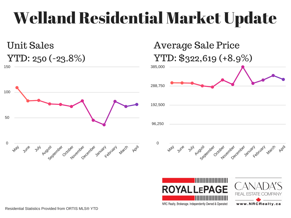## Welland Residential Market Update

150 Unit Sales YTD: 250 (-23.8%)





### Average Sale Price YTD: \$322,619 (+8.9%)



October

November 25



July August Captainer

May

June



January Land March

April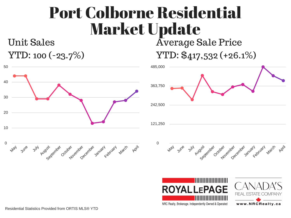### Port Colborne Residential Market Update

#### Unit Sales YTD: 100 (-23.7%)





Average Sale Price YTD: \$417,532 (+26.1%)









NRC Realty, Brokerage. Independently Owned & Operated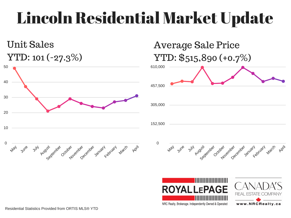## Lincoln Residential Market Update

#### Unit Sales YTD: 101 (-27.3%)



### Average Sale Price YTD: \$515,890 (+0.7%)







NRC Realty, Brokerage. Independently Owned & Operated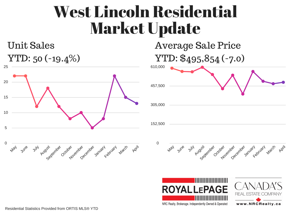### West Lincoln Residential Market Update

#### Unit Sales YTD: 50 (-19.4%)







Average Sale Price





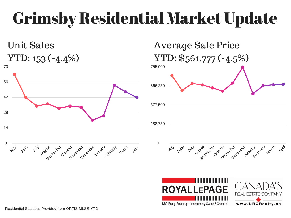# Grimsby Residential Market Update

### Unit Sales YTD: 153 (-4.4%)





### Average Sale Price YTD: \$561,777 (-4.5%)





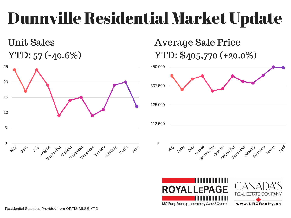## Dunnville Residential Market Update

### Unit Sales YTD: 57 (-40.6%)



### Average Sale Price YTD: \$405,770 (+20.0%)





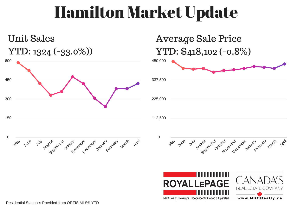### Hamilton Market Update



NRC Realty, Brokerage. Independently Owned & Operated

www.NRCRealty.ca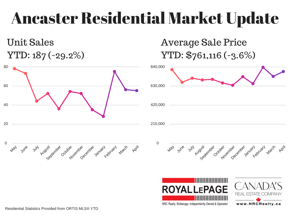### Ancaster Residential Market Update

### Unit Sales YTD: 187 (-29.2%)





Average Sale Price YTD: \$761,116 (-3.6%)